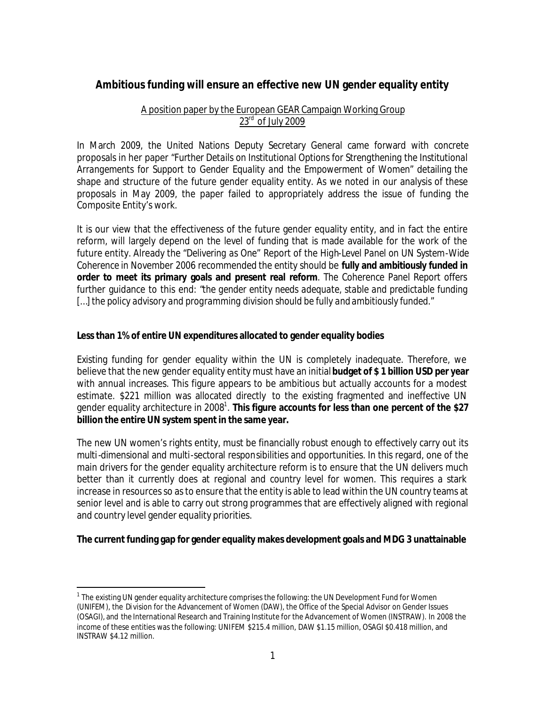# **Ambitious funding will ensure an effective new UN gender equality entity**

# A position paper by the European GEAR Campaign Working Group  $23<sup>rd</sup>$  of July 2009

In March 2009, the United Nations Deputy Secretary General came forward with concrete proposals in her paper "*Further Details on Institutional Options for Strengthening the Institutional Arrangements for Support to Gender Equality and the Empowerment of Women*" detailing the shape and structure of the future gender equality entity. As we noted in our analysis of these proposals in May 2009, the paper failed to appropriately address the issue of funding the Composite Entity's work.

It is our view that the effectiveness of the future gender equality entity, and in fact the entire reform, will largely depend on the level of funding that is made available for the work of the future entity. Already the "*Delivering as One*" Report of the *High-Level Panel on UN System-Wide Coherence* in November 2006 recommended the entity should be **fully and ambitiously funded in order to meet its primary goals and present real reform**. The Coherence Panel Report offers further guidance to this end: "*the gender entity needs adequate, stable and predictable funding […] the policy advisory and programming division should be fully and ambitiously funded."* 

### **Less than 1% of entire UN expenditures allocated to gender equality bodies**

Existing funding for gender equality within the UN is completely inadequate. Therefore, we believe that the new gender equality entity must have an initial **budget of \$ 1 billion USD per year** with annual increases. This figure appears to be ambitious but actually accounts for a modest estimate. \$221 million was allocated directly to the existing fragmented and ineffective UN gender equality architecture in 2008<sup>1</sup>. This figure accounts for less than one percent of the \$27 **billion the entire UN system spent in the same year.**

The new UN women's rights entity, must be financially robust enough to effectively carry out its multi-dimensional and multi-sectoral responsibilities and opportunities. In this regard, one of the main drivers for the gender equality architecture reform is to ensure that the UN delivers much better than it currently does at regional and country level for women. This requires a stark increase in resources so as to ensure that the entity is able to lead within the UN country teams at senior level and is able to carry out strong programmes that are effectively aligned with regional and country level gender equality priorities.

# **The current funding gap for gender equality makes development goals and MDG 3 unattainable**

 $\overline{a}$ 

 $^{\rm 1}$  The existing UN gender equality architecture comprises the following: the UN Development Fund for Women (UNIFEM), the Di vision for the Advancement of Women (DAW), the Office of the Special Advisor on Gender Issues (OSAGI), and the International Research and Training Institute for the Advancement of Women (INSTRAW). In 2008 the income of these entities was the following: UNIFEM \$215.4 million, DAW \$1.15 million, OSAGI \$0.418 million, and INSTRAW \$4.12 million.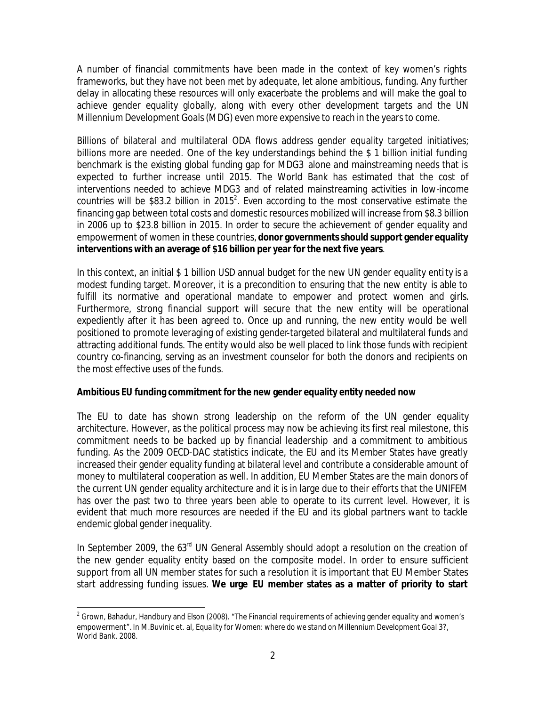A number of financial commitments have been made in the context of key women's rights frameworks, but they have not been met by adequate, let alone ambitious, funding. Any further delay in allocating these resources will only exacerbate the problems and will make the goal to achieve gender equality globally, along with every other development targets and the UN Millennium Development Goals (MDG) even more expensive to reach in the years to come.

Billions of bilateral and multilateral ODA flows address gender equality targeted initiatives; billions more are needed. One of the key understandings behind the \$ 1 billion initial funding benchmark is the existing global funding gap for MDG3 alone and mainstreaming needs that is expected to further increase until 2015. The World Bank has estimated that the cost of interventions needed to achieve MDG3 and of related mainstreaming activities in low-income countries will be \$83.2 billion in 2015<sup>2</sup>. Even according to the most conservative estimate the financing gap between total costs and domestic resources mobilized will increase from \$8.3 billion in 2006 up to \$23.8 billion in 2015. In order to secure the achievement of gender equality and empowerment of women in these countries, **donor governments should support gender equality interventions with an average of \$16 billion per year for the next five years**.

In this context, an initial \$ 1 billion USD annual budget for the new UN gender equality entity is a modest funding target. Moreover, it is a precondition to ensuring that the new entity is able to fulfill its normative and operational mandate to empower and protect women and girls. Furthermore, strong financial support will secure that the new entity will be operational expediently after it has been agreed to. Once up and running, the new entity would be well positioned to promote leveraging of existing gender-targeted bilateral and multilateral funds and attracting additional funds. The entity would also be well placed to link those funds with recipient country co-financing, serving as an investment counselor for both the donors and recipients on the most effective uses of the funds.

# **Ambitious EU funding commitment for the new gender equality entity needed now**

The EU to date has shown strong leadership on the reform of the UN gender equality architecture. However, as the political process may now be achieving its first real milestone, this commitment needs to be backed up by financial leadership and a commitment to ambitious funding. As the 2009 OECD-DAC statistics indicate, the EU and its Member States have greatly increased their gender equality funding at bilateral level and contribute a considerable amount of money to multilateral cooperation as well. In addition, EU Member States are the main donors of the current UN gender equality architecture and it is in large due to their efforts that the UNIFEM has over the past two to three years been able to operate to its current level. However, it is evident that much more resources are needed if the EU and its global partners want to tackle endemic global gender inequality.

In September 2009, the 63<sup>rd</sup> UN General Assembly should adopt a resolution on the creation of the new gender equality entity based on the composite model. In order to ensure sufficient support from all UN member states for such a resolution it is important that EU Member States start addressing funding issues. **We urge EU member states as a matter of priority to start** 

 $\overline{a}$  $^{\rm 2}$  Grown, Bahadur, Handbury and Elson (2008). "The Financial requirements of achieving gender equality and women's empowerment"*.* In M.Buvinic et. al, *Equality for Women: where do we stand on Millennium Development Goal 3?,* World Bank. 2008.